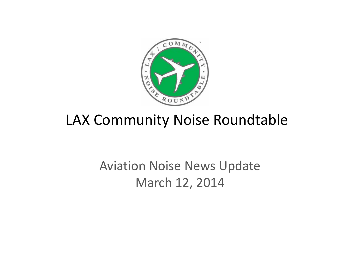

# LAX Community Noise Roundtable

# Aviation Noise News Update March 12, 2014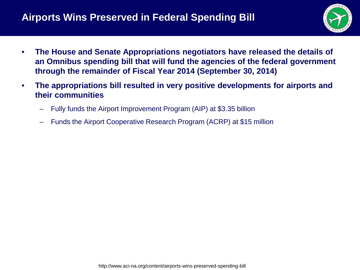

- **The House and Senate Appropriations negotiators have released the details of an Omnibus spending bill that will fund the agencies of the federal government through the remainder of Fiscal Year 2014 (September 30, 2014)**
- **The appropriations bill resulted in very positive developments for airports and their communities**
	- Fully funds the Airport Improvement Program (AIP) at \$3.35 billion
	- Funds the Airport Cooperative Research Program (ACRP) at \$15 million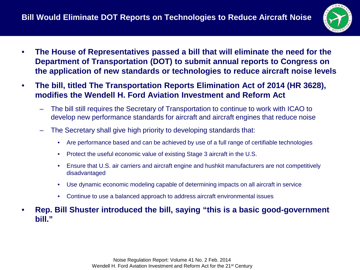

- **The House of Representatives passed a bill that will eliminate the need for the Department of Transportation (DOT) to submit annual reports to Congress on the application of new standards or technologies to reduce aircraft noise levels**
- **The bill, titled The Transportation Reports Elimination Act of 2014 (HR 3628), modifies the Wendell H. Ford Aviation Investment and Reform Act**
	- The bill still requires the Secretary of Transportation to continue to work with ICAO to develop new performance standards for aircraft and aircraft engines that reduce noise
	- The Secretary shall give high priority to developing standards that:
		- Are performance based and can be achieved by use of a full range of certifiable technologies
		- Protect the useful economic value of existing Stage 3 aircraft in the U.S.
		- Ensure that U.S. air carriers and aircraft engine and hushkit manufacturers are not competitively disadvantaged
		- Use dynamic economic modeling capable of determining impacts on all aircraft in service
		- Continue to use a balanced approach to address aircraft environmental issues
- **Rep. Bill Shuster introduced the bill, saying "this is a basic good-government bill."**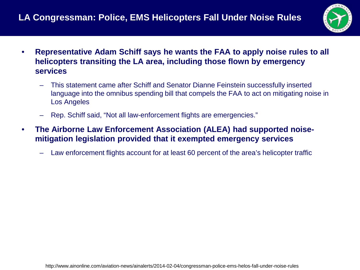

- **Representative Adam Schiff says he wants the FAA to apply noise rules to all helicopters transiting the LA area, including those flown by emergency services**
	- This statement came after Schiff and Senator Dianne Feinstein successfully inserted language into the omnibus spending bill that compels the FAA to act on mitigating noise in Los Angeles
	- Rep. Schiff said, "Not all law-enforcement flights are emergencies."
- **The Airborne Law Enforcement Association (ALEA) had supported noisemitigation legislation provided that it exempted emergency services**
	- Law enforcement flights account for at least 60 percent of the area's helicopter traffic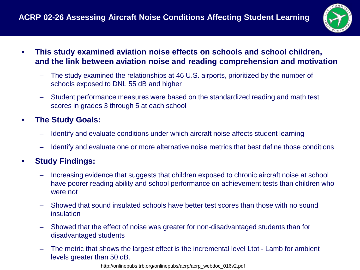

- **This study examined aviation noise effects on schools and school children, and the link between aviation noise and reading comprehension and motivation**
	- The study examined the relationships at 46 U.S. airports, prioritized by the number of schools exposed to DNL 55 dB and higher
	- Student performance measures were based on the standardized reading and math test scores in grades 3 through 5 at each school

### • **The Study Goals:**

- Identify and evaluate conditions under which aircraft noise affects student learning
- Identify and evaluate one or more alternative noise metrics that best define those conditions

#### • **Study Findings:**

- Increasing evidence that suggests that children exposed to chronic aircraft noise at school have poorer reading ability and school performance on achievement tests than children who were not
- Showed that sound insulated schools have better test scores than those with no sound insulation
- Showed that the effect of noise was greater for non-disadvantaged students than for disadvantaged students
- The metric that shows the largest effect is the incremental level Ltot Lamb for ambient levels greater than 50 dB.

http://onlinepubs.trb.org/onlinepubs/acrp/acrp\_webdoc\_016v2.pdf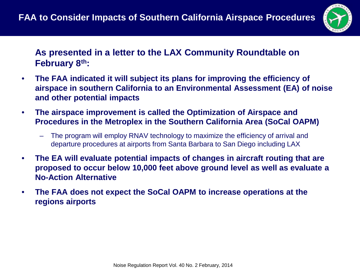

### **As presented in a letter to the LAX Community Roundtable on February 8th:**

- **The FAA indicated it will subject its plans for improving the efficiency of airspace in southern California to an Environmental Assessment (EA) of noise and other potential impacts**
- **The airspace improvement is called the Optimization of Airspace and Procedures in the Metroplex in the Southern California Area (SoCal OAPM)**
	- The program will employ RNAV technology to maximize the efficiency of arrival and departure procedures at airports from Santa Barbara to San Diego including LAX
- **The EA will evaluate potential impacts of changes in aircraft routing that are proposed to occur below 10,000 feet above ground level as well as evaluate a No-Action Alternative**
- **The FAA does not expect the SoCal OAPM to increase operations at the regions airports**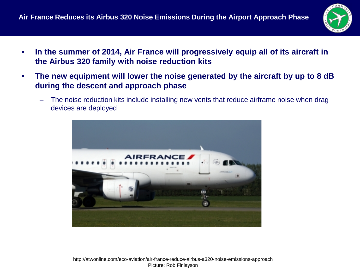

- **In the summer of 2014, Air France will progressively equip all of its aircraft in the Airbus 320 family with noise reduction kits**
- **The new equipment will lower the noise generated by the aircraft by up to 8 dB during the descent and approach phase**
	- The noise reduction kits include installing new vents that reduce airframe noise when drag devices are deployed



http://atwonline.com/eco-aviation/air-france-reduce-airbus-a320-noise-emissions-approach Picture: Rob Finlayson